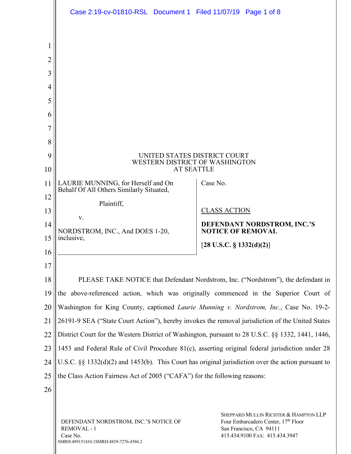|                                      | Case 2:19-cv-01810-RSL Document 1 Filed 11/07/19 Page 1 of 8                                              |                                                                                                                                           |
|--------------------------------------|-----------------------------------------------------------------------------------------------------------|-------------------------------------------------------------------------------------------------------------------------------------------|
| 2<br>3<br>4<br>5<br>6<br>7<br>8<br>9 | UNITED STATES DISTRICT COURT<br>WESTERN DISTRICT OF WASHINGTON                                            |                                                                                                                                           |
| 10<br>11                             | <b>AT SEATTLE</b><br>LAURIE MUNNING, for Herself and On<br>Behalf Of All Others Similarly Situated,       | Case No.                                                                                                                                  |
| 12<br>13                             | Plaintiff,<br>V.                                                                                          | <b>CLASS ACTION</b>                                                                                                                       |
| 14<br>15                             | NORDSTROM, INC., And DOES 1-20,<br>inclusive,                                                             | DEFENDANT NORDSTROM, INC.'S<br><b>NOTICE OF REMOVAL</b><br>[28 U.S.C. $\S$ 1332(d)(2)]                                                    |
| 16<br>17                             |                                                                                                           |                                                                                                                                           |
| 18                                   | PLEASE TAKE NOTICE that Defendant Nordstrom, Inc. ("Nordstrom"), the defendant in                         |                                                                                                                                           |
| 19                                   | the above-referenced action, which was originally commenced in the Superior Court of                      |                                                                                                                                           |
| 20                                   | Washington for King County, captioned Laurie Munning v. Nordstrom, Inc., Case No. 19-2-                   |                                                                                                                                           |
| 21                                   | 26191-9 SEA ("State Court Action"), hereby invokes the removal jurisdiction of the United States          |                                                                                                                                           |
| 22                                   | District Court for the Western District of Washington, pursuant to 28 U.S.C. §§ 1332, 1441, 1446,         |                                                                                                                                           |
| 23                                   | 1453 and Federal Rule of Civil Procedure 81(c), asserting original federal jurisdiction under 28          |                                                                                                                                           |
| 24                                   | U.S.C. $\S\S$ 1332(d)(2) and 1453(b). This Court has original jurisdiction over the action pursuant to    |                                                                                                                                           |
| 25                                   | the Class Action Fairness Act of 2005 ("CAFA") for the following reasons:                                 |                                                                                                                                           |
| 26                                   |                                                                                                           |                                                                                                                                           |
|                                      | DEFENDANT NORDSTROM, INC.'S NOTICE OF<br>REMOVAL - 1<br>Case No.<br>SMRH:489151434.1SMRH:4839-7276-4586.2 | SHEPPARD MULLIN RICHTER & HAMPTON LLP<br>Four Embarcadero Center, 17th Floor<br>San Francisco, CA 94111<br>415.434.9100 FAX: 415.434.3947 |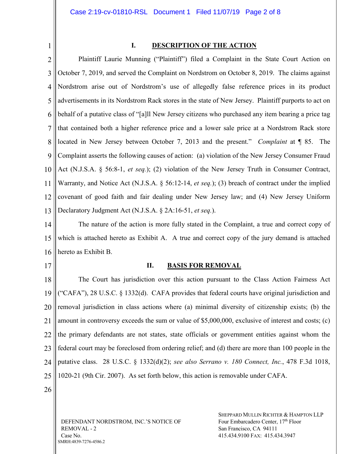1

## **I. DESCRIPTION OF THE ACTION**

2 3 4 5 6 7 8 9 10 11 12 13 Plaintiff Laurie Munning ("Plaintiff") filed a Complaint in the State Court Action on October 7, 2019, and served the Complaint on Nordstrom on October 8, 2019. The claims against Nordstrom arise out of Nordstrom's use of allegedly false reference prices in its product advertisements in its Nordstrom Rack stores in the state of New Jersey. Plaintiff purports to act on behalf of a putative class of "[a]ll New Jersey citizens who purchased any item bearing a price tag that contained both a higher reference price and a lower sale price at a Nordstrom Rack store located in New Jersey between October 7, 2013 and the present." *Complaint* at ¶ 85. The Complaint asserts the following causes of action: (a) violation of the New Jersey Consumer Fraud Act (N.J.S.A. § 56:8-1, *et seq.*); (2) violation of the New Jersey Truth in Consumer Contract, Warranty, and Notice Act (N.J.S.A. § 56:12-14, *et seq.*); (3) breach of contract under the implied covenant of good faith and fair dealing under New Jersey law; and (4) New Jersey Uniform Declaratory Judgment Act (N.J.S.A. § 2A:16-51, *et seq.*).

14 15 16 The nature of the action is more fully stated in the Complaint, a true and correct copy of which is attached hereto as Exhibit A. A true and correct copy of the jury demand is attached hereto as Exhibit B.

17

#### **II. BASIS FOR REMOVAL**

18 19 20 21 22 23 24 25 The Court has jurisdiction over this action pursuant to the Class Action Fairness Act ("CAFA"), 28 U.S.C. § 1332(d). CAFA provides that federal courts have original jurisdiction and removal jurisdiction in class actions where (a) minimal diversity of citizenship exists; (b) the amount in controversy exceeds the sum or value of \$5,000,000, exclusive of interest and costs; (c) the primary defendants are not states, state officials or government entities against whom the federal court may be foreclosed from ordering relief; and (d) there are more than 100 people in the putative class. 28 U.S.C. § 1332(d)(2); *see also Serrano v. 180 Connect, Inc.*, 478 F.3d 1018, 1020-21 (9th Cir. 2007). As set forth below, this action is removable under CAFA.

26

DEFENDANT NORDSTROM, INC.'S NOTICE OF REMOVAL - 2 Case No. SMRH:4839-7276-4586.2

SHEPPARD MULLIN RICHTER & HAMPTON LLP Four Embarcadero Center, 17<sup>th</sup> Floor San Francisco, CA 94111 415.434.9100 FAX: 415.434.3947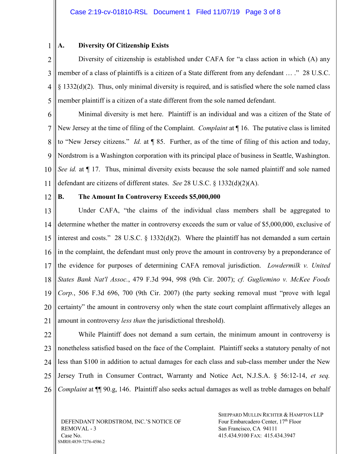#### 1 **A. Diversity Of Citizenship Exists**

2 3 4 5 Diversity of citizenship is established under CAFA for "a class action in which (A) any member of a class of plaintiffs is a citizen of a State different from any defendant ... ." 28 U.S.C. § 1332(d)(2). Thus, only minimal diversity is required, and is satisfied where the sole named class member plaintiff is a citizen of a state different from the sole named defendant.

6 7 8  $\overline{Q}$ 10 11 Minimal diversity is met here. Plaintiff is an individual and was a citizen of the State of New Jersey at the time of filing of the Complaint. *Complaint* at ¶ 16. The putative class is limited to "New Jersey citizens." *Id.* at ¶ 85. Further, as of the time of filing of this action and today, Nordstrom is a Washington corporation with its principal place of business in Seattle, Washington. *See id.* at  $\P$  17. Thus, minimal diversity exists because the sole named plaintiff and sole named defendant are citizens of different states. *See* 28 U.S.C. § 1332(d)(2)(A).

12

## **B. The Amount In Controversy Exceeds \$5,000,000**

13 14 15 16 17 18 19 20 21 Under CAFA, "the claims of the individual class members shall be aggregated to determine whether the matter in controversy exceeds the sum or value of \$5,000,000, exclusive of interest and costs." 28 U.S.C. § 1332(d)(2). Where the plaintiff has not demanded a sum certain in the complaint, the defendant must only prove the amount in controversy by a preponderance of the evidence for purposes of determining CAFA removal jurisdiction. *Lowdermilk v. United States Bank Nat'l Assoc.*, 479 F.3d 994, 998 (9th Cir. 2007); *cf. Gugliemino v. McKee Foods Corp.*, 506 F.3d 696, 700 (9th Cir. 2007) (the party seeking removal must "prove with legal certainty" the amount in controversy only when the state court complaint affirmatively alleges an amount in controversy *less than* the jurisdictional threshold).

22 23 24 25 26 While Plaintiff does not demand a sum certain, the minimum amount in controversy is nonetheless satisfied based on the face of the Complaint. Plaintiff seeks a statutory penalty of not less than \$100 in addition to actual damages for each class and sub-class member under the New Jersey Truth in Consumer Contract, Warranty and Notice Act, N.J.S.A. § 56:12-14, *et seq. Complaint* at ¶¶ 90.g, 146. Plaintiff also seeks actual damages as well as treble damages on behalf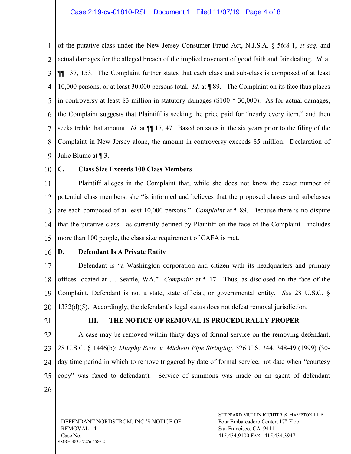1 2 3 4 5 6 7 8 9 of the putative class under the New Jersey Consumer Fraud Act, N.J.S.A. § 56:8-1, *et seq.* and actual damages for the alleged breach of the implied covenant of good faith and fair dealing. *Id.* at ¶¶ 137, 153. The Complaint further states that each class and sub-class is composed of at least 10,000 persons, or at least 30,000 persons total. *Id.* at ¶ 89. The Complaint on its face thus places in controversy at least \$3 million in statutory damages (\$100 \* 30,000). As for actual damages, the Complaint suggests that Plaintiff is seeking the price paid for "nearly every item," and then seeks treble that amount. *Id.* at ¶¶ 17, 47. Based on sales in the six years prior to the filing of the Complaint in New Jersey alone, the amount in controversy exceeds \$5 million. Declaration of Julie Blume at ¶ 3.

10

## **C. Class Size Exceeds 100 Class Members**

11 12 13 14 15 Plaintiff alleges in the Complaint that, while she does not know the exact number of potential class members, she "is informed and believes that the proposed classes and subclasses are each composed of at least 10,000 persons." *Complaint* at ¶ 89. Because there is no dispute that the putative class—as currently defined by Plaintiff on the face of the Complaint—includes more than 100 people, the class size requirement of CAFA is met.

- 16
- 

#### **D. Defendant Is A Private Entity**

17 18 19 20 Defendant is "a Washington corporation and citizen with its headquarters and primary offices located at … Seattle, WA." *Complaint* at ¶ 17. Thus, as disclosed on the face of the Complaint, Defendant is not a state, state official, or governmental entity. *See* 28 U.S.C. § 1332(d)(5). Accordingly, the defendant's legal status does not defeat removal jurisdiction.

21

#### **III. THE NOTICE OF REMOVAL IS PROCEDURALLY PROPER**

22 23 24 25 26 A case may be removed within thirty days of formal service on the removing defendant. 28 U.S.C. § 1446(b); *Murphy Bros. v. Michetti Pipe Stringing*, 526 U.S. 344, 348-49 (1999) (30 day time period in which to remove triggered by date of formal service, not date when "courtesy copy" was faxed to defendant). Service of summons was made on an agent of defendant

DEFENDANT NORDSTROM, INC.'S NOTICE OF REMOVAL - 4 Case No. SMRH:4839-7276-4586.2

SHEPPARD MULLIN RICHTER & HAMPTON LLP Four Embarcadero Center, 17<sup>th</sup> Floor San Francisco, CA 94111 415.434.9100 FAX: 415.434.3947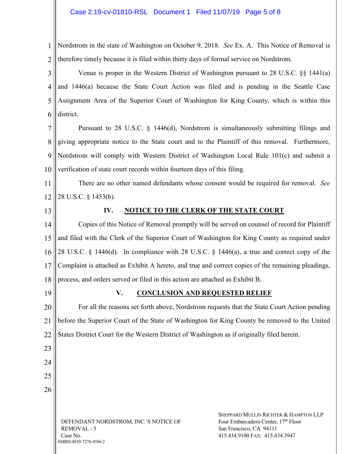1 2 Nordstrom in the state of Washington on October 9, 2018. *See* Ex. A. This Notice of Removal is therefore timely because it is filed within thirty days of formal service on Nordstrom.

3 4 5 6 Venue is proper in the Western District of Washington pursuant to 28 U.S.C. §§ 1441(a) and 1446(a) because the State Court Action was filed and is pending in the Seattle Case Assignment Area of the Superior Court of Washington for King County, which is within this district.

7 8  $\overline{Q}$ 10 Pursuant to 28 U.S.C. § 1446(d), Nordstrom is simultaneously submitting filings and giving appropriate notice to the State court and to the Plaintiff of this removal. Furthermore, Nordstrom will comply with Western District of Washington Local Rule 101(c) and submit a verification of state court records within fourteen days of this filing.

11 12 There are no other named defendants whose consent would be required for removal. *See*  28 U.S.C. § 1453(b).

13

# **IV. NOTICE TO THE CLERK OF THE STATE COURT**

14 15 16 17 18 Copies of this Notice of Removal promptly will be served on counsel of record for Plaintiff and filed with the Clerk of the Superior Court of Washington for King County as required under 28 U.S.C. § 1446(d). In compliance with 28 U.S.C. § 1446(a), a true and correct copy of the Complaint is attached as Exhibit A hereto, and true and correct copies of the remaining pleadings, process, and orders served or filed in this action are attached as Exhibit B.

19

23

24

25

26

# **V. CONCLUSION AND REQUESTED RELIEF**

20 21 22 For all the reasons set forth above, Nordstrom requests that the State Court Action pending before the Superior Court of the State of Washington for King County be removed to the United States District Court for the Western District of Washington as if originally filed herein.

DEFENDANT NORDSTROM, INC.'S NOTICE OF REMOVAL - 5 Case No. SMRH:4839-7276-4586.2

SHEPPARD MULLIN RICHTER & HAMPTON LLP Four Embarcadero Center, 17<sup>th</sup> Floor San Francisco, CA 94111 415.434.9100 FAX: 415.434.3947